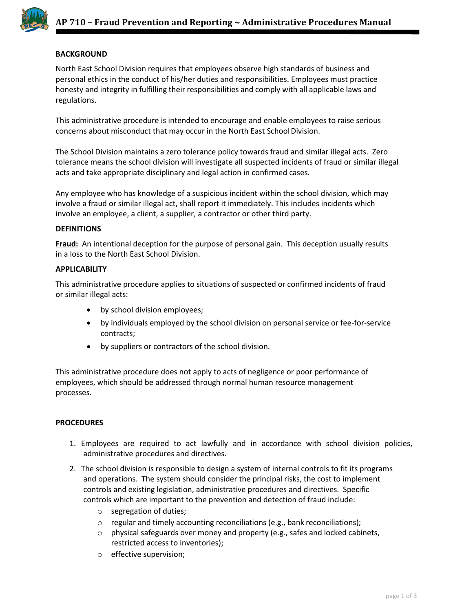

## **BACKGROUND**

North East School Division requires that employees observe high standards of business and personal ethics in the conduct of his/her duties and responsibilities. Employees must practice honesty and integrity in fulfilling their responsibilities and comply with all applicable laws and regulations.

This administrative procedure is intended to encourage and enable employees to raise serious concerns about misconduct that may occur in the North East School Division.

The School Division maintains a zero tolerance policy towards fraud and similar illegal acts. Zero tolerance means the school division will investigate all suspected incidents of fraud or similar illegal acts and take appropriate disciplinary and legal action in confirmed cases.

Any employee who has knowledge of a suspicious incident within the school division, which may involve a fraud or similar illegal act, shall report it immediately. This includes incidents which involve an employee, a client, a supplier, a contractor or other third party.

## **DEFINITIONS**

**Fraud:** An intentional deception for the purpose of personal gain. This deception usually results in a loss to the North East School Division.

## **APPLICABILITY**

This administrative procedure applies to situations of suspected or confirmed incidents of fraud or similar illegal acts:

- by school division employees;
- by individuals employed by the school division on personal service or fee-for-service contracts;
- by suppliers or contractors of the school division.

This administrative procedure does not apply to acts of negligence or poor performance of employees, which should be addressed through normal human resource management processes.

## **PROCEDURES**

- 1. Employees are required to act lawfully and in accordance with school division policies, administrative procedures and directives.
- 2. The school division is responsible to design a system of internal controls to fit its programs and operations. The system should consider the principal risks, the cost to implement controls and existing legislation, administrative procedures and directives. Specific controls which are important to the prevention and detection of fraud include:
	- o segregation of duties;
	- o regular and timely accounting reconciliations (e.g., bank reconciliations);
	- $\circ$  physical safeguards over money and property (e.g., safes and locked cabinets, restricted access to inventories);
	- o effective supervision;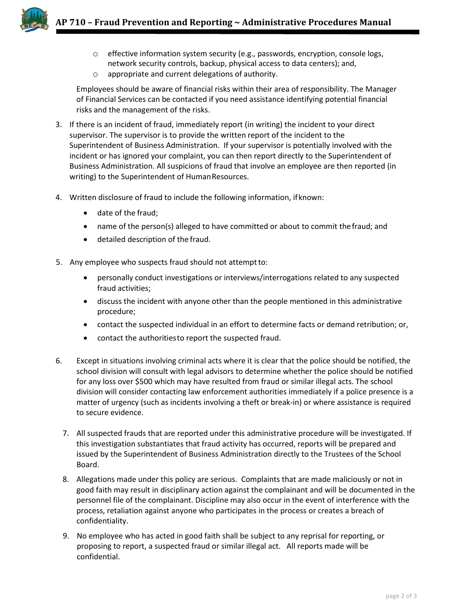

- $\circ$  effective information system security (e.g., passwords, encryption, console logs, network security controls, backup, physical access to data centers); and,
- o appropriate and current delegations of authority.

Employees should be aware of financial risks within their area of responsibility. The Manager of Financial Services can be contacted if you need assistance identifying potential financial risks and the management of the risks.

- 3. If there is an incident of fraud, immediately report (in writing) the incident to your direct supervisor. The supervisor is to provide the written report of the incident to the Superintendent of Business Administration. If your supervisor is potentially involved with the incident or has ignored your complaint, you can then report directly to the Superintendent of Business Administration. All suspicions of fraud that involve an employee are then reported (in writing) to the Superintendent of Human Resources.
- 4. Written disclosure of fraud to include the following information, ifknown:
	- date of the fraud;
	- name of the person(s) alleged to have committed or about to commit thefraud; and
	- detailed description of the fraud.
- 5. Any employee who suspects fraud should not attempt to:
	- personally conduct investigations or interviews/interrogations related to any suspected fraud activities;
	- discuss the incident with anyone other than the people mentioned in this administrative procedure;
	- contact the suspected individual in an effort to determine facts or demand retribution; or,
	- contact the authoritiesto report the suspected fraud.
- 6. Except in situations involving criminal acts where it is clear that the police should be notified, the school division will consult with legal advisors to determine whether the police should be notified for any loss over \$500 which may have resulted from fraud or similar illegal acts. The school division will consider contacting law enforcement authorities immediately if a police presence is a matter of urgency (such as incidents involving a theft or break-in) or where assistance is required to secure evidence.
	- 7. All suspected frauds that are reported under this administrative procedure will be investigated. If this investigation substantiates that fraud activity has occurred, reports will be prepared and issued by the Superintendent of Business Administration directly to the Trustees of the School Board.
	- 8. Allegations made under this policy are serious. Complaints that are made maliciously or not in good faith may result in disciplinary action against the complainant and will be documented in the personnel file of the complainant. Discipline may also occur in the event of interference with the process, retaliation against anyone who participates in the process or creates a breach of confidentiality.
	- 9. No employee who has acted in good faith shall be subject to any reprisal for reporting, or proposing to report, a suspected fraud or similar illegal act. All reports made will be confidential.